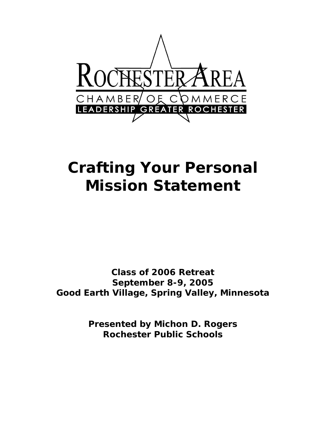

# **Crafting Your Personal Mission Statement**

**Class of 2006 Retreat September 8-9, 2005 Good Earth Village, Spring Valley, Minnesota** 

> **Presented by Michon D. Rogers Rochester Public Schools**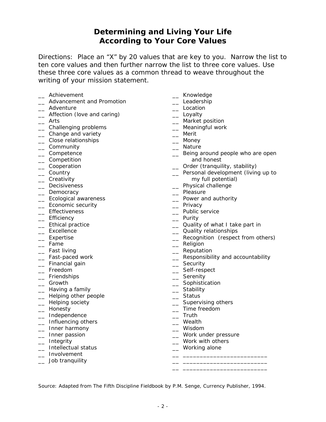#### **Determining and Living Your Life According to Your Core Values**

Directions:Place an "X" by 20 values that are key to you. Narrow the list to ten core values and then further narrow the list to three core values. Use these three core values as a common thread to weave throughout the writing of your mission statement.

- \_\_ Achievement the contract of the contract of the contract of the contract of the contract of the contract of the contract of the contract of the contract of the contract of the contract of the contract of the contract of
- \_\_ Advancement and Promotion \_\_ Leadership
- 
- \_\_ Adventure \_\_ Location \_\_ Affection (love and caring) \_\_ Loyalty
- 
- Let Challenging problems the control of the Meaningful work
- 
- \_\_ Change and variety \_\_ Merit  $\equiv$  Close relationships
- \_\_ Community \_\_ Nature
- 
- 
- 
- 
- 
- 
- Lacktrian Democracy **Lacktrian Contracts** Chemistry Democracy
- 
- Lacktrian Economic security and the control of the control of Privacy
- 
- 
- \_\_ Efficiency<br>\_\_ Ethical practice
- 
- 
- 
- 
- 
- \_\_ Financial gain \_\_\_ \_\_\_ Security \_\_\_ Security<br>
\_\_ Freedom \_\_\_ Self-resp
- 
- \_\_ Friendships
- 
- 
- \_\_ Helping other people \_\_ Status
- 
- 
- \_\_ Independence \_\_ Truth
- \_\_ Influencing others \_\_ Wealth
- \_ Inner harmony
- 
- 
- 
- $\Box$  Involvement  $\Box$
- \_\_ Job tranquility \_\_ \_\_\_\_\_\_\_\_\_\_\_\_\_\_\_\_\_\_\_\_\_\_\_\_\_  $\frac{1}{\sqrt{2}}$  , and the state of the state of the state  $\frac{1}{\sqrt{2}}$  , and the state of the state of the state of the state of the state of the state of the state of the state of the state of the state of the state of the
- 
- 
- 
- 
- \_\_ Arts \_\_ Market position
	-
	-
	-
	-
- \_\_ Competence \_\_ Being around people who are open \_\_ Competition and honest
- \_\_ Cooperation \_\_ Order (tranquility, stability)
- \_\_ Country \_\_ Personal development (living up to \_\_ Creativity my full potential)
	- \_\_ Decisiveness \_\_ Physical challenge
	-
- \_\_ Ecological awareness \_\_ Power and authority
	-
- \_\_ Effectiveness \_\_ Public service
	-
- \_\_ Ethical practice \_\_ Quality of what I take part in
	- \_ Quality relationships
- \_\_ Expertise \_\_ Recognition (respect from others)
	- $\equiv$  Religion
- \_ Fast living the contract of the contract of the Reputation
- Let Fast-paced work and the second contract the second extending  $\sim$  Responsibility and accountability
	-
	- \_\_ Self-respect<br>\_\_ Serenity
	-
- \_\_ Growth \_\_ Sophistication
	-
	-
- \_\_ Helping society \_\_ Supervising others
	- $\equiv$  Time freedom
	-
	-
	-
- \_\_ Inner passion \_\_ Work under pressure
- \_\_ Integrity \_\_ Work with others
- \_\_ Intellectual status \_\_ Working alone

Source: Adapted from *The Fifth Discipline Fieldbook* by P.M. Senge, Currency Publisher, 1994.

Lao Having a family the state of the stability and the stability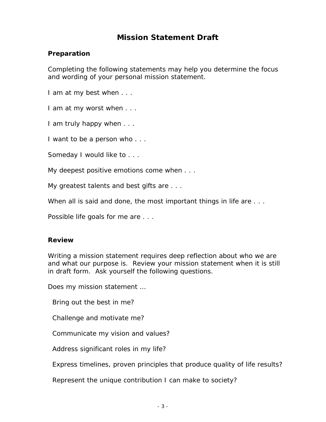## **Mission Statement Draft**

#### **Preparation**

Completing the following statements may help you determine the focus and wording of your personal mission statement.

*I am at my best when . . .* 

*I am at my worst when . . .* 

*I am truly happy when . . .* 

*I want to be a person who . . .* 

*Someday I would like to . . .* 

*My deepest positive emotions come when . . .* 

*My greatest talents and best gifts are . . .* 

*When all is said and done, the most important things in life are . . .* 

*Possible life goals for me are . . .* 

#### **Review**

Writing a mission statement requires deep reflection about who we are and what our purpose is. Review your mission statement when it is still in draft form. Ask yourself the following questions.

*Does my mission statement …* 

 *Bring out the best in me?* 

 *Challenge and motivate me?* 

 *Communicate my vision and values?* 

 *Address significant roles in my life?* 

 *Express timelines, proven principles that produce quality of life results?* 

 *Represent the unique contribution I can make to society?*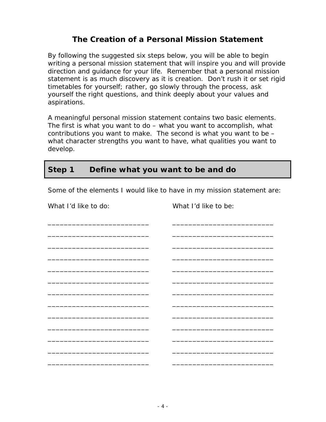#### **The Creation of a Personal Mission Statement**

By following the suggested six steps below, you will be able to begin writing a personal mission statement that will inspire you and will provide direction and guidance for your life. Remember that a personal mission statement is as much discovery as it is creation. Don't rush it or set rigid timetables for yourself; rather, go slowly through the process, ask yourself the right questions, and think deeply about your values and aspirations.

A meaningful personal mission statement contains two basic elements. The first is what you want to do – what you want to accomplish, what contributions you want to make. The second is what you want to be – what character strengths you want to have, what qualities you want to develop.

#### **Step 1 Define what you want to be and do**

Some of the elements I would like to have in my mission statement are:

\_\_\_\_\_\_\_\_\_\_\_\_\_\_\_\_\_\_\_\_\_\_\_\_\_ \_\_\_\_\_\_\_\_\_\_\_\_\_\_\_\_\_\_\_\_\_\_\_\_\_

What I'd like to do: What I'd like to be:

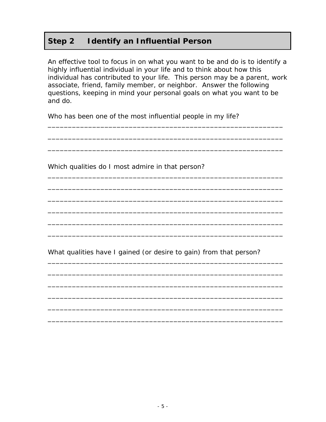## **Step 2 Identify an Influential Person**

An effective tool to focus in on what you want to be and do is to identify a highly influential individual in your life and to think about how this individual has contributed to your life. This person may be a parent, work associate, friend, family member, or neighbor. Answer the following questions, keeping in mind your personal goals on what you want to be and do.

\_\_\_\_\_\_\_\_\_\_\_\_\_\_\_\_\_\_\_\_\_\_\_\_\_\_\_\_\_\_\_\_\_\_\_\_\_\_\_\_\_\_\_\_\_\_\_\_\_\_\_\_\_\_\_\_\_\_

\_\_\_\_\_\_\_\_\_\_\_\_\_\_\_\_\_\_\_\_\_\_\_\_\_\_\_\_\_\_\_\_\_\_\_\_\_\_\_\_\_\_\_\_\_\_\_\_\_\_\_\_\_\_\_\_\_\_

\_\_\_\_\_\_\_\_\_\_\_\_\_\_\_\_\_\_\_\_\_\_\_\_\_\_\_\_\_\_\_\_\_\_\_\_\_\_\_\_\_\_\_\_\_\_\_\_\_\_\_\_\_\_\_\_\_\_

\_\_\_\_\_\_\_\_\_\_\_\_\_\_\_\_\_\_\_\_\_\_\_\_\_\_\_\_\_\_\_\_\_\_\_\_\_\_\_\_\_\_\_\_\_\_\_\_\_\_\_\_\_\_\_\_\_\_

\_\_\_\_\_\_\_\_\_\_\_\_\_\_\_\_\_\_\_\_\_\_\_\_\_\_\_\_\_\_\_\_\_\_\_\_\_\_\_\_\_\_\_\_\_\_\_\_\_\_\_\_\_\_\_\_\_\_

\_\_\_\_\_\_\_\_\_\_\_\_\_\_\_\_\_\_\_\_\_\_\_\_\_\_\_\_\_\_\_\_\_\_\_\_\_\_\_\_\_\_\_\_\_\_\_\_\_\_\_\_\_\_\_\_\_\_

\_\_\_\_\_\_\_\_\_\_\_\_\_\_\_\_\_\_\_\_\_\_\_\_\_\_\_\_\_\_\_\_\_\_\_\_\_\_\_\_\_\_\_\_\_\_\_\_\_\_\_\_\_\_\_\_\_\_

\_\_\_\_\_\_\_\_\_\_\_\_\_\_\_\_\_\_\_\_\_\_\_\_\_\_\_\_\_\_\_\_\_\_\_\_\_\_\_\_\_\_\_\_\_\_\_\_\_\_\_\_\_\_\_\_\_\_

\_\_\_\_\_\_\_\_\_\_\_\_\_\_\_\_\_\_\_\_\_\_\_\_\_\_\_\_\_\_\_\_\_\_\_\_\_\_\_\_\_\_\_\_\_\_\_\_\_\_\_\_\_\_\_\_\_\_

\_\_\_\_\_\_\_\_\_\_\_\_\_\_\_\_\_\_\_\_\_\_\_\_\_\_\_\_\_\_\_\_\_\_\_\_\_\_\_\_\_\_\_\_\_\_\_\_\_\_\_\_\_\_\_\_\_\_

\_\_\_\_\_\_\_\_\_\_\_\_\_\_\_\_\_\_\_\_\_\_\_\_\_\_\_\_\_\_\_\_\_\_\_\_\_\_\_\_\_\_\_\_\_\_\_\_\_\_\_\_\_\_\_\_\_\_

\_\_\_\_\_\_\_\_\_\_\_\_\_\_\_\_\_\_\_\_\_\_\_\_\_\_\_\_\_\_\_\_\_\_\_\_\_\_\_\_\_\_\_\_\_\_\_\_\_\_\_\_\_\_\_\_\_\_

\_\_\_\_\_\_\_\_\_\_\_\_\_\_\_\_\_\_\_\_\_\_\_\_\_\_\_\_\_\_\_\_\_\_\_\_\_\_\_\_\_\_\_\_\_\_\_\_\_\_\_\_\_\_\_\_\_\_

\_\_\_\_\_\_\_\_\_\_\_\_\_\_\_\_\_\_\_\_\_\_\_\_\_\_\_\_\_\_\_\_\_\_\_\_\_\_\_\_\_\_\_\_\_\_\_\_\_\_\_\_\_\_\_\_\_\_

\_\_\_\_\_\_\_\_\_\_\_\_\_\_\_\_\_\_\_\_\_\_\_\_\_\_\_\_\_\_\_\_\_\_\_\_\_\_\_\_\_\_\_\_\_\_\_\_\_\_\_\_\_\_\_\_\_\_

Who has been one of the most influential people in my life?

Which qualities do I most admire in that person?

What qualities have I gained (or desire to gain) from that person?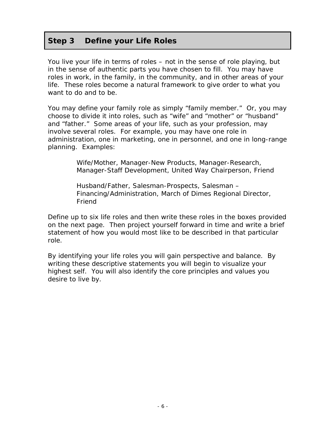#### **Step 3 Define your Life Roles**

You live your life in terms of roles – not in the sense of role playing, but in the sense of authentic parts you have chosen to fill. You may have roles in work, in the family, in the community, and in other areas of your life. These roles become a natural framework to give order to what you want to do and to be.

You may define your family role as simply "family member." Or, you may choose to divide it into roles, such as "wife" and "mother" or "husband" and "father." Some areas of your life, such as your profession, may involve several roles. For example, you may have one role in administration, one in marketing, one in personnel, and one in long-range planning. Examples:

> *Wife/Mother, Manager-New Products, Manager-Research, Manager-Staff Development, United Way Chairperson, Friend*

*Husband/Father, Salesman-Prospects, Salesman – Financing/Administration, March of Dimes Regional Director, Friend* 

Define up to six life roles and then write these roles in the boxes provided on the next page. Then project yourself forward in time and write a brief statement of how you would most like to be described in that particular role.

By identifying your life roles you will gain perspective and balance. By writing these descriptive statements you will begin to visualize your highest self. You will also identify the core principles and values you desire to live by.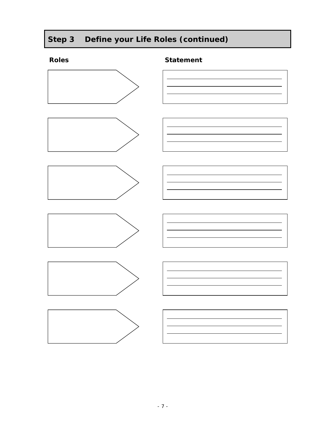# **Step 3 Define your Life Roles (continued)**

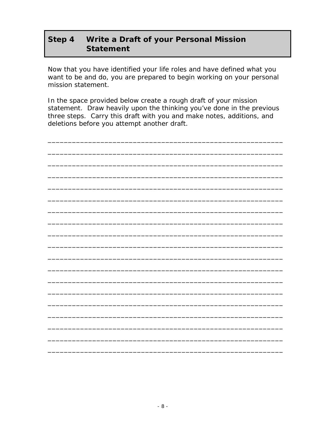#### Step 4 Write a Draft of your Personal Mission **Statement**

Now that you have identified your life roles and have defined what you want to be and do, you are prepared to begin working on your personal mission statement.

In the space provided below create a rough draft of your mission statement. Draw heavily upon the thinking you've done in the previous three steps. Carry this draft with you and make notes, additions, and deletions before you attempt another draft.

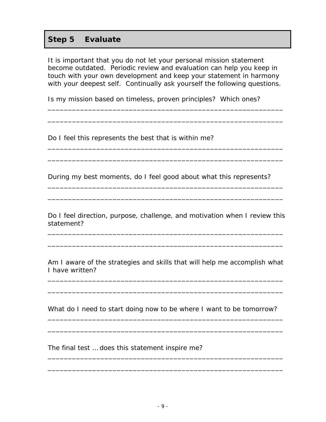### **Step 5 Evaluate**

It is important that you do not let your personal mission statement become outdated. Periodic review and evaluation can help you keep in touch with your own development and keep your statement in harmony with your deepest self. Continually ask yourself the following questions.

\_\_\_\_\_\_\_\_\_\_\_\_\_\_\_\_\_\_\_\_\_\_\_\_\_\_\_\_\_\_\_\_\_\_\_\_\_\_\_\_\_\_\_\_\_\_\_\_\_\_\_\_\_\_\_\_\_\_

\_\_\_\_\_\_\_\_\_\_\_\_\_\_\_\_\_\_\_\_\_\_\_\_\_\_\_\_\_\_\_\_\_\_\_\_\_\_\_\_\_\_\_\_\_\_\_\_\_\_\_\_\_\_\_\_\_\_

\_\_\_\_\_\_\_\_\_\_\_\_\_\_\_\_\_\_\_\_\_\_\_\_\_\_\_\_\_\_\_\_\_\_\_\_\_\_\_\_\_\_\_\_\_\_\_\_\_\_\_\_\_\_\_\_\_\_

\_\_\_\_\_\_\_\_\_\_\_\_\_\_\_\_\_\_\_\_\_\_\_\_\_\_\_\_\_\_\_\_\_\_\_\_\_\_\_\_\_\_\_\_\_\_\_\_\_\_\_\_\_\_\_\_\_\_

\_\_\_\_\_\_\_\_\_\_\_\_\_\_\_\_\_\_\_\_\_\_\_\_\_\_\_\_\_\_\_\_\_\_\_\_\_\_\_\_\_\_\_\_\_\_\_\_\_\_\_\_\_\_\_\_\_\_

\_\_\_\_\_\_\_\_\_\_\_\_\_\_\_\_\_\_\_\_\_\_\_\_\_\_\_\_\_\_\_\_\_\_\_\_\_\_\_\_\_\_\_\_\_\_\_\_\_\_\_\_\_\_\_\_\_\_

Is my mission based on timeless, proven principles? Which ones?

Do I feel this represents the best that is within me?

During my best moments, do I feel good about what this represents?

Do I feel direction, purpose, challenge, and motivation when I review this statement?

\_\_\_\_\_\_\_\_\_\_\_\_\_\_\_\_\_\_\_\_\_\_\_\_\_\_\_\_\_\_\_\_\_\_\_\_\_\_\_\_\_\_\_\_\_\_\_\_\_\_\_\_\_\_\_\_\_\_

\_\_\_\_\_\_\_\_\_\_\_\_\_\_\_\_\_\_\_\_\_\_\_\_\_\_\_\_\_\_\_\_\_\_\_\_\_\_\_\_\_\_\_\_\_\_\_\_\_\_\_\_\_\_\_\_\_\_

Am I aware of the strategies and skills that will help me accomplish what I have written?

\_\_\_\_\_\_\_\_\_\_\_\_\_\_\_\_\_\_\_\_\_\_\_\_\_\_\_\_\_\_\_\_\_\_\_\_\_\_\_\_\_\_\_\_\_\_\_\_\_\_\_\_\_\_\_\_\_\_

\_\_\_\_\_\_\_\_\_\_\_\_\_\_\_\_\_\_\_\_\_\_\_\_\_\_\_\_\_\_\_\_\_\_\_\_\_\_\_\_\_\_\_\_\_\_\_\_\_\_\_\_\_\_\_\_\_\_

What do I need to start doing now to be where I want to be tomorrow?

\_\_\_\_\_\_\_\_\_\_\_\_\_\_\_\_\_\_\_\_\_\_\_\_\_\_\_\_\_\_\_\_\_\_\_\_\_\_\_\_\_\_\_\_\_\_\_\_\_\_\_\_\_\_\_\_\_\_

\_\_\_\_\_\_\_\_\_\_\_\_\_\_\_\_\_\_\_\_\_\_\_\_\_\_\_\_\_\_\_\_\_\_\_\_\_\_\_\_\_\_\_\_\_\_\_\_\_\_\_\_\_\_\_\_\_\_

\_\_\_\_\_\_\_\_\_\_\_\_\_\_\_\_\_\_\_\_\_\_\_\_\_\_\_\_\_\_\_\_\_\_\_\_\_\_\_\_\_\_\_\_\_\_\_\_\_\_\_\_\_\_\_\_\_\_

\_\_\_\_\_\_\_\_\_\_\_\_\_\_\_\_\_\_\_\_\_\_\_\_\_\_\_\_\_\_\_\_\_\_\_\_\_\_\_\_\_\_\_\_\_\_\_\_\_\_\_\_\_\_\_\_\_\_

The final test … does this statement inspire me?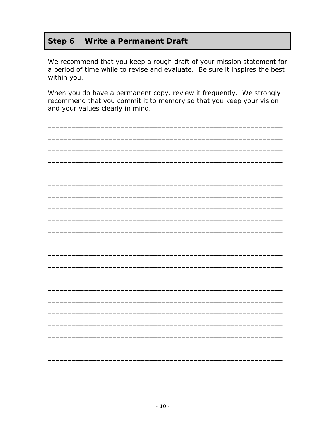#### Step 6 **Write a Permanent Draft**

We recommend that you keep a rough draft of your mission statement for a period of time while to revise and evaluate. Be sure it inspires the best within you.

When you do have a permanent copy, review it frequently. We strongly recommend that you commit it to memory so that you keep your vision and your values clearly in mind.